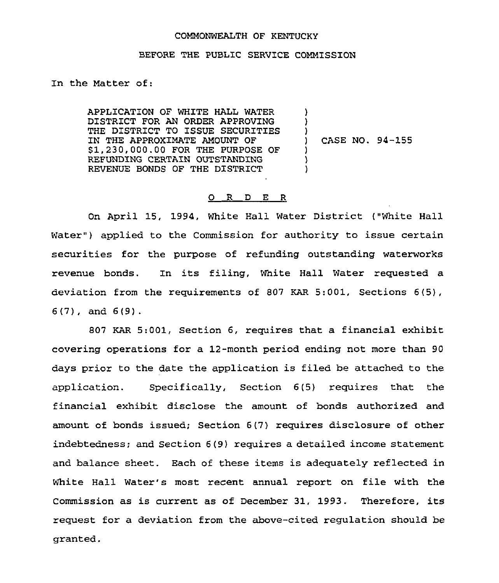## COMMONWEALTH OF KENTUCKY

## BEFORE THE PUBLIC SERVICE COMMISSION

In the Matter of:

APPLICATION OF WHITE HALL WATER DISTRICT FOR AN ORDER APPROVING THE DISTRICT TO ISSUE SECURITIES IN THE APPROXIMATE AMOUNT OF \$1,230,000.00 FOR THE PURPOSE OF REFUNDING CERTAIN OUTSTANDING REVENUE BONDS OF THE DISTRICT ) ) ) ) CASE NO. 94-155 ) )

## 0 R <sup>D</sup> E R

On April 15, 1994, White Hall Water District ("White Hall Water") applied to the Commission for authority to issue certain securities for the purpose of refunding outstanding waterworks revenue bonds. Zn its filing, White Hall Water requested a deviation from the requirements of 807 KAR 5:001, Sections 6(5), 6(7), and 6(9).

807 KAR 5:001, Section 6, requires that a financial exhibit covering operations for a 12-month period ending not more than 90 days prior to the date the application is filed be attached to the application. Specifically, Section 6(5) requires that the financial exhibit disclose the amount of bonds authorized and amount of bonds issued; Section 6(7) requires disclosure of other indebtedness; and Section 6(9) requires a detailed income statement and balance sheet. Each of these items is adequately reflected in White Hall Water's most recent annual report on file with the Commission as is current as of December 31, 1993. Therefore, its request for a deviation from the above-cited regulation should be granted.